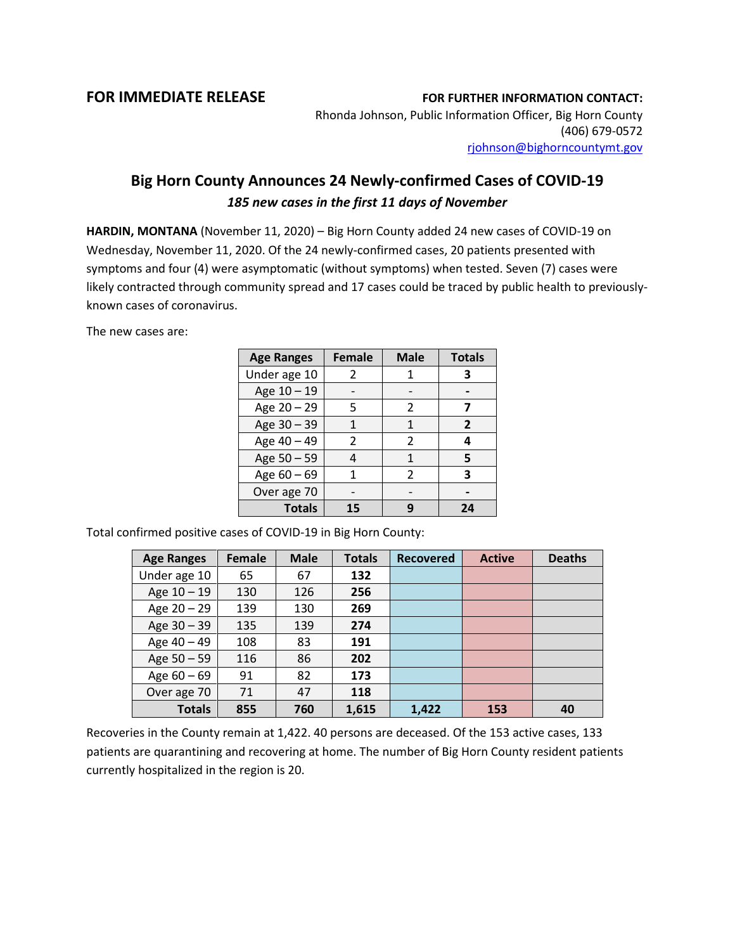## **FOR IMMEDIATE RELEASE FOR FURTHER INFORMATION CONTACT:**

Rhonda Johnson, Public Information Officer, Big Horn County (406) 679-0572 [rjohnson@bighorncountymt.gov](mailto:rjohnson@bighorncountymt.gov)

## **Big Horn County Announces 24 Newly-confirmed Cases of COVID-19** *185 new cases in the first 11 days of November*

**HARDIN, MONTANA** (November 11, 2020) – Big Horn County added 24 new cases of COVID-19 on Wednesday, November 11, 2020. Of the 24 newly-confirmed cases, 20 patients presented with symptoms and four (4) were asymptomatic (without symptoms) when tested. Seven (7) cases were likely contracted through community spread and 17 cases could be traced by public health to previouslyknown cases of coronavirus.

The new cases are:

| <b>Age Ranges</b> | <b>Female</b> | <b>Male</b>   | <b>Totals</b> |
|-------------------|---------------|---------------|---------------|
| Under age 10      | 2             |               | 3             |
| Age 10 - 19       |               |               |               |
| Age 20 - 29       | 5             | $\mathcal{P}$ |               |
| Age 30 - 39       |               | 1             | 2             |
| Age 40 - 49       | $\mathcal{P}$ | 2             | 4             |
| Age 50 - 59       |               | 1             | 5             |
| Age 60 - 69       | 1             | C.            | 3             |
| Over age 70       |               |               |               |
| <b>Totals</b>     | 15            | q             | 24            |

Total confirmed positive cases of COVID-19 in Big Horn County:

| <b>Age Ranges</b> | Female | <b>Male</b> | <b>Totals</b> | <b>Recovered</b> | <b>Active</b> | <b>Deaths</b> |
|-------------------|--------|-------------|---------------|------------------|---------------|---------------|
| Under age 10      | 65     | 67          | 132           |                  |               |               |
| Age $10 - 19$     | 130    | 126         | 256           |                  |               |               |
| Age $20 - 29$     | 139    | 130         | 269           |                  |               |               |
| Age $30 - 39$     | 135    | 139         | 274           |                  |               |               |
| Age 40 - 49       | 108    | 83          | 191           |                  |               |               |
| Age 50 - 59       | 116    | 86          | 202           |                  |               |               |
| Age $60 - 69$     | 91     | 82          | 173           |                  |               |               |
| Over age 70       | 71     | 47          | 118           |                  |               |               |
| <b>Totals</b>     | 855    | 760         | 1,615         | 1,422            | 153           | 40            |

Recoveries in the County remain at 1,422. 40 persons are deceased. Of the 153 active cases, 133 patients are quarantining and recovering at home. The number of Big Horn County resident patients currently hospitalized in the region is 20.